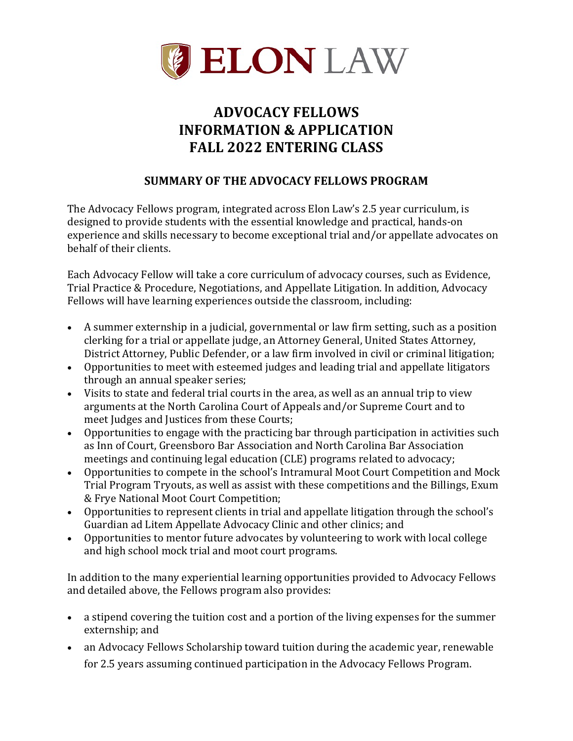

# **ADVOCACY FELLOWS INFORMATION & APPLICATION FALL 2022 ENTERING CLASS**

## **SUMMARY OF THE ADVOCACY FELLOWS PROGRAM**

The Advocacy Fellows program, integrated across Elon Law's 2.5 year curriculum, is designed to provide students with the essential knowledge and practical, hands-on experience and skills necessary to become exceptional trial and/or appellate advocates on behalf of their clients.

Each Advocacy Fellow will take a core curriculum of advocacy courses, such as Evidence, Trial Practice & Procedure, Negotiations, and Appellate Litigation. In addition, Advocacy Fellows will have learning experiences outside the classroom, including:

- A summer externship in a judicial, governmental or law firm setting, such as a position clerking for a trial or appellate judge, an Attorney General, United States Attorney, District Attorney, Public Defender, or a law firm involved in civil or criminal litigation;
- Opportunities to meet with esteemed judges and leading trial and appellate litigators through an annual speaker series;
- Visits to state and federal trial courts in the area, as well as an annual trip to view arguments at the North Carolina Court of Appeals and/or Supreme Court and to meet Judges and Justices from these Courts;
- Opportunities to engage with the practicing bar through participation in activities such as Inn of Court, Greensboro Bar Association and North Carolina Bar Association meetings and continuing legal education (CLE) programs related to advocacy;
- Opportunities to compete in the school's Intramural Moot Court Competition and Mock Trial Program Tryouts, as well as assist with these competitions and the Billings, Exum & Frye National Moot Court Competition;
- Opportunities to represent clients in trial and appellate litigation through the school's Guardian ad Litem Appellate Advocacy Clinic and other clinics; and
- Opportunities to mentor future advocates by volunteering to work with local college and high school mock trial and moot court programs.

In addition to the many experiential learning opportunities provided to Advocacy Fellows and detailed above, the Fellows program also provides:

- a stipend covering the tuition cost and a portion of the living expenses for the summer externship; and
- an Advocacy Fellows Scholarship toward tuition during the academic year, renewable for 2.5 years assuming continued participation in the Advocacy Fellows Program.